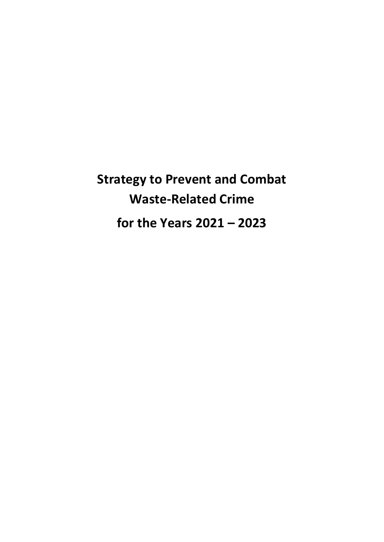**Strategy to Prevent and Combat Waste-Related Crime for the Years 2021 – 2023**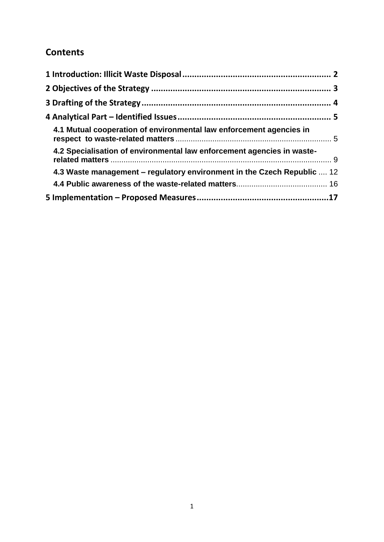# **Contents**

| 4.1 Mutual cooperation of environmental law enforcement agencies in     |  |
|-------------------------------------------------------------------------|--|
| 4.2 Specialisation of environmental law enforcement agencies in waste-  |  |
| 4.3 Waste management – regulatory environment in the Czech Republic  12 |  |
|                                                                         |  |
|                                                                         |  |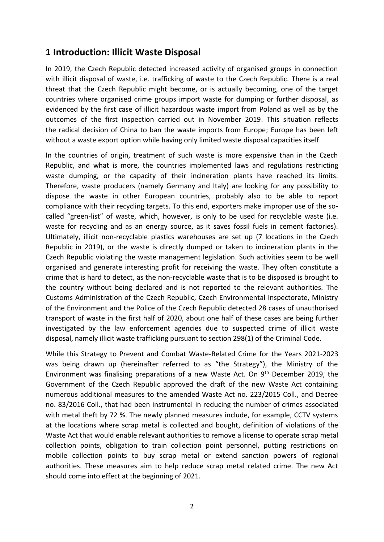### <span id="page-2-0"></span>**1 Introduction: Illicit Waste Disposal**

In 2019, the Czech Republic detected increased activity of organised groups in connection with illicit disposal of waste, i.e. trafficking of waste to the Czech Republic. There is a real threat that the Czech Republic might become, or is actually becoming, one of the target countries where organised crime groups import waste for dumping or further disposal, as evidenced by the first case of illicit hazardous waste import from Poland as well as by the outcomes of the first inspection carried out in November 2019. This situation reflects the radical decision of China to ban the waste imports from Europe; Europe has been left without a waste export option while having only limited waste disposal capacities itself.

In the countries of origin, treatment of such waste is more expensive than in the Czech Republic, and what is more, the countries implemented laws and regulations restricting waste dumping, or the capacity of their incineration plants have reached its limits. Therefore, waste producers (namely Germany and Italy) are looking for any possibility to dispose the waste in other European countries, probably also to be able to report compliance with their recycling targets. To this end, exporters make improper use of the socalled "green-list" of waste, which, however, is only to be used for recyclable waste (i.e. waste for recycling and as an energy source, as it saves fossil fuels in cement factories). Ultimately, illicit non-recyclable plastics warehouses are set up (7 locations in the Czech Republic in 2019), or the waste is directly dumped or taken to incineration plants in the Czech Republic violating the waste management legislation. Such activities seem to be well organised and generate interesting profit for receiving the waste. They often constitute a crime that is hard to detect, as the non-recyclable waste that is to be disposed is brought to the country without being declared and is not reported to the relevant authorities. The Customs Administration of the Czech Republic, Czech Environmental Inspectorate, Ministry of the Environment and the Police of the Czech Republic detected 28 cases of unauthorised transport of waste in the first half of 2020, about one half of these cases are being further investigated by the law enforcement agencies due to suspected crime of illicit waste disposal, namely illicit waste trafficking pursuant to section 298(1) of the Criminal Code.

While this Strategy to Prevent and Combat Waste-Related Crime for the Years 2021-2023 was being drawn up (hereinafter referred to as "the Strategy"), the Ministry of the Environment was finalising preparations of a new Waste Act. On  $9<sup>th</sup>$  December 2019, the Government of the Czech Republic approved the draft of the new Waste Act containing numerous additional measures to the amended Waste Act no. 223/2015 Coll., and Decree no. 83/2016 Coll., that had been instrumental in reducing the number of crimes associated with metal theft by 72 %. The newly planned measures include, for example, CCTV systems at the locations where scrap metal is collected and bought, definition of violations of the Waste Act that would enable relevant authorities to remove a license to operate scrap metal collection points, obligation to train collection point personnel, putting restrictions on mobile collection points to buy scrap metal or extend sanction powers of regional authorities. These measures aim to help reduce scrap metal related crime. The new Act should come into effect at the beginning of 2021.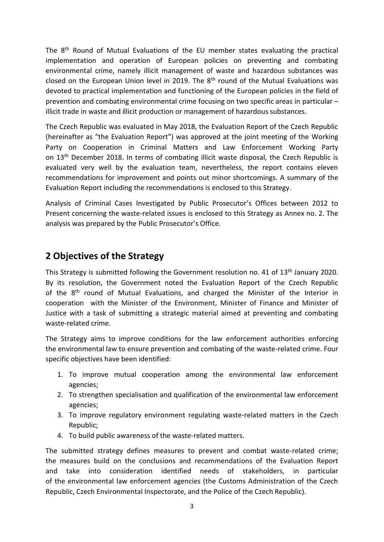The 8th Round of Mutual Evaluations of the EU member states evaluating the practical implementation and operation of European policies on preventing and combating environmental crime, namely illicit management of waste and hazardous substances was closed on the European Union level in 2019. The  $8<sup>th</sup>$  round of the Mutual Evaluations was devoted to practical implementation and functioning of the European policies in the field of prevention and combating environmental crime focusing on two specific areas in particular – illicit trade in waste and illicit production or management of hazardous substances.

The Czech Republic was evaluated in May 2018, the Evaluation Report of the Czech Republic (hereinafter as "the Evaluation Report") was approved at the joint meeting of the Working Party on Cooperation in Criminal Matters and Law Enforcement Working Party on 13<sup>th</sup> December 2018. In terms of combating illicit waste disposal, the Czech Republic is evaluated very well by the evaluation team, nevertheless, the report contains eleven recommendations for improvement and points out minor shortcomings. A summary of the Evaluation Report including the recommendations is enclosed to this Strategy.

Analysis of Criminal Cases Investigated by Public Prosecutor's Offices between 2012 to Present concerning the waste-related issues is enclosed to this Strategy as Annex no. 2. The analysis was prepared by the Public Prosecutor's Office.

### <span id="page-3-0"></span>**2 Objectives of the Strategy**

This Strategy is submitted following the Government resolution no. 41 of 13<sup>th</sup> January 2020. By its resolution, the Government noted the Evaluation Report of the Czech Republic of the  $8<sup>th</sup>$  round of Mutual Evaluations, and charged the Minister of the Interior in cooperation with the Minister of the Environment, Minister of Finance and Minister of Justice with a task of submitting a strategic material aimed at preventing and combating waste-related crime.

The Strategy aims to improve conditions for the law enforcement authorities enforcing the environmental law to ensure prevention and combating of the waste-related crime. Four specific objectives have been identified:

- 1. To improve mutual cooperation among the environmental law enforcement agencies;
- 2. To strengthen specialisation and qualification of the environmental law enforcement agencies;
- 3. To improve regulatory environment regulating waste-related matters in the Czech Republic;
- 4. To build public awareness of the waste-related matters.

The submitted strategy defines measures to prevent and combat waste-related crime; the measures build on the conclusions and recommendations of the Evaluation Report and take into consideration identified needs of stakeholders, in particular of the environmental law enforcement agencies (the Customs Administration of the Czech Republic, Czech Environmental Inspectorate, and the Police of the Czech Republic).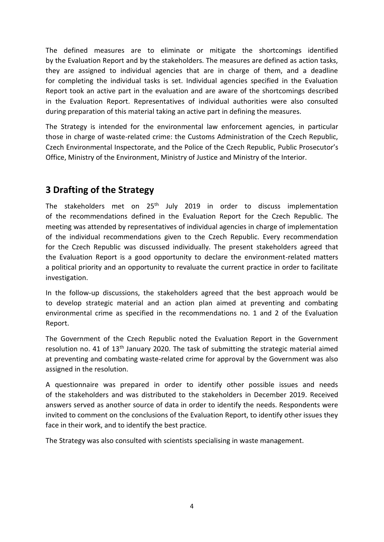The defined measures are to eliminate or mitigate the shortcomings identified by the Evaluation Report and by the stakeholders. The measures are defined as action tasks, they are assigned to individual agencies that are in charge of them, and a deadline for completing the individual tasks is set. Individual agencies specified in the Evaluation Report took an active part in the evaluation and are aware of the shortcomings described in the Evaluation Report. Representatives of individual authorities were also consulted during preparation of this material taking an active part in defining the measures.

The Strategy is intended for the environmental law enforcement agencies, in particular those in charge of waste-related crime: the Customs Administration of the Czech Republic, Czech Environmental Inspectorate, and the Police of the Czech Republic, Public Prosecutor's Office, Ministry of the Environment, Ministry of Justice and Ministry of the Interior.

# <span id="page-4-0"></span>**3 Drafting of the Strategy**

The stakeholders met on 25<sup>th</sup> July 2019 in order to discuss implementation of the recommendations defined in the Evaluation Report for the Czech Republic. The meeting was attended by representatives of individual agencies in charge of implementation of the individual recommendations given to the Czech Republic. Every recommendation for the Czech Republic was discussed individually. The present stakeholders agreed that the Evaluation Report is a good opportunity to declare the environment-related matters a political priority and an opportunity to revaluate the current practice in order to facilitate investigation.

In the follow-up discussions, the stakeholders agreed that the best approach would be to develop strategic material and an action plan aimed at preventing and combating environmental crime as specified in the recommendations no. 1 and 2 of the Evaluation Report.

The Government of the Czech Republic noted the Evaluation Report in the Government resolution no. 41 of 13<sup>th</sup> January 2020. The task of submitting the strategic material aimed at preventing and combating waste-related crime for approval by the Government was also assigned in the resolution.

A questionnaire was prepared in order to identify other possible issues and needs of the stakeholders and was distributed to the stakeholders in December 2019. Received answers served as another source of data in order to identify the needs. Respondents were invited to comment on the conclusions of the Evaluation Report, to identify other issues they face in their work, and to identify the best practice.

The Strategy was also consulted with scientists specialising in waste management.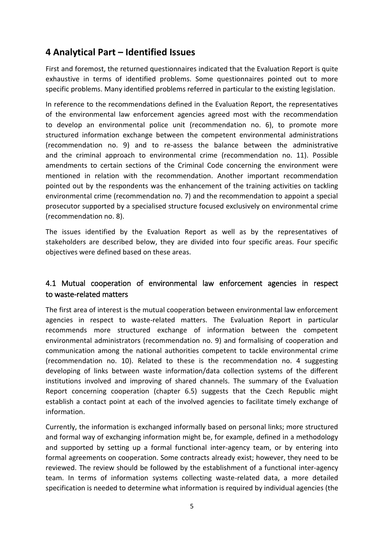## <span id="page-5-0"></span>**4 Analytical Part – Identified Issues**

First and foremost, the returned questionnaires indicated that the Evaluation Report is quite exhaustive in terms of identified problems. Some questionnaires pointed out to more specific problems. Many identified problems referred in particular to the existing legislation.

In reference to the recommendations defined in the Evaluation Report, the representatives of the environmental law enforcement agencies agreed most with the recommendation to develop an environmental police unit (recommendation no. 6), to promote more structured information exchange between the competent environmental administrations (recommendation no. 9) and to re-assess the balance between the administrative and the criminal approach to environmental crime (recommendation no. 11). Possible amendments to certain sections of the Criminal Code concerning the environment were mentioned in relation with the recommendation. Another important recommendation pointed out by the respondents was the enhancement of the training activities on tackling environmental crime (recommendation no. 7) and the recommendation to appoint a special prosecutor supported by a specialised structure focused exclusively on environmental crime (recommendation no. 8).

The issues identified by the Evaluation Report as well as by the representatives of stakeholders are described below, they are divided into four specific areas. Four specific objectives were defined based on these areas.

### <span id="page-5-1"></span>4.1 Mutual cooperation of environmental law enforcement agencies in respect to waste-related matters

The first area of interest is the mutual cooperation between environmental law enforcement agencies in respect to waste-related matters. The Evaluation Report in particular recommends more structured exchange of information between the competent environmental administrators (recommendation no. 9) and formalising of cooperation and communication among the national authorities competent to tackle environmental crime (recommendation no. 10). Related to these is the recommendation no. 4 suggesting developing of links between waste information/data collection systems of the different institutions involved and improving of shared channels. The summary of the Evaluation Report concerning cooperation (chapter 6.5) suggests that the Czech Republic might establish a contact point at each of the involved agencies to facilitate timely exchange of information.

Currently, the information is exchanged informally based on personal links; more structured and formal way of exchanging information might be, for example, defined in a methodology and supported by setting up a formal functional inter-agency team, or by entering into formal agreements on cooperation. Some contracts already exist; however, they need to be reviewed. The review should be followed by the establishment of a functional inter-agency team. In terms of information systems collecting waste-related data, a more detailed specification is needed to determine what information is required by individual agencies (the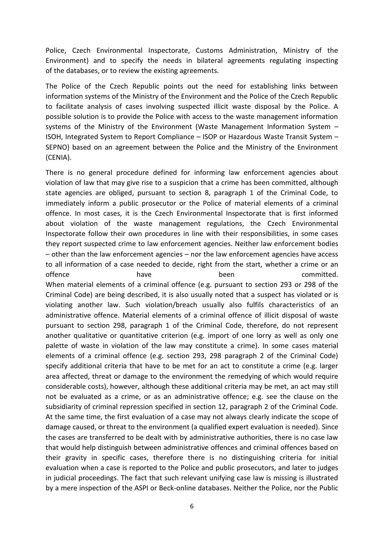Police, Czech Environmental Inspectorate, Customs Administration, Ministry of the Environment) and to specify the needs in bilateral agreements regulating inspecting of the databases, or to review the existing agreements.

The Police of the Czech Republic points out the need for establishing links between information systems of the Ministry of the Environment and the Police of the Czech Republic to facilitate analysis of cases involving suspected illicit waste disposal by the Police. A possible solution is to provide the Police with access to the waste management information systems of the Ministry of the Environment (Waste Management Information System – ISOH, Integrated System to Report Compliance – ISOP or Hazardous Waste Transit System – SEPNO) based on an agreement between the Police and the Ministry of the Environment (CENIA).

There is no general procedure defined for informing law enforcement agencies about violation of law that may give rise to a suspicion that a crime has been committed, although state agencies are obliged, pursuant to section 8, paragraph 1 of the Criminal Code, to immediately inform a public prosecutor or the Police of material elements of a criminal offence. In most cases, it is the Czech Environmental Inspectorate that is first informed about violation of the waste management regulations, the Czech Environmental Inspectorate follow their own procedures in line with their responsibilities, in some cases they report suspected crime to law enforcement agencies. Neither law enforcement bodies – other than the law enforcement agencies – nor the law enforcement agencies have access to all information of a case needed to decide, right from the start, whether a crime or an offence have have been been committed. When material elements of a criminal offence (e.g. pursuant to section 293 or 298 of the Criminal Code) are being described, it is also usually noted that a suspect has violated or is violating another law. Such violation/breach usually also fulfils characteristics of an administrative offence. Material elements of a criminal offence of illicit disposal of waste pursuant to section 298, paragraph 1 of the Criminal Code, therefore, do not represent another qualitative or quantitative criterion (e.g. import of one lorry as well as only one palette of waste in violation of the law may constitute a crime). In some cases material elements of a criminal offence (e.g. section 293, 298 paragraph 2 of the Criminal Code) specify additional criteria that have to be met for an act to constitute a crime (e.g. larger area affected, threat or damage to the environment the remedying of which would require considerable costs), however, although these additional criteria may be met, an act may still not be evaluated as a crime, or as an administrative offence; e.g. see the clause on the subsidiarity of criminal repression specified in section 12, paragraph 2 of the Criminal Code. At the same time, the first evaluation of a case may not always clearly indicate the scope of damage caused, or threat to the environment (a qualified expert evaluation is needed). Since the cases are transferred to be dealt with by administrative authorities, there is no case law that would help distinguish between administrative offences and criminal offences based on their gravity in specific cases, therefore there is no distinguishing criteria for initial evaluation when a case is reported to the Police and public prosecutors, and later to judges in judicial proceedings. The fact that such relevant unifying case law is missing is illustrated by a mere inspection of the ASPI or Beck-online databases. Neither the Police, nor the Public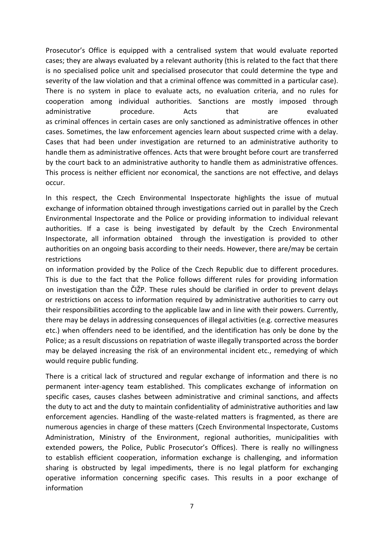Prosecutor's Office is equipped with a centralised system that would evaluate reported cases; they are always evaluated by a relevant authority (this is related to the fact that there is no specialised police unit and specialised prosecutor that could determine the type and severity of the law violation and that a criminal offence was committed in a particular case). There is no system in place to evaluate acts, no evaluation criteria, and no rules for cooperation among individual authorities. Sanctions are mostly imposed through administrative procedure. Acts that are evaluated as criminal offences in certain cases are only sanctioned as administrative offences in other cases. Sometimes, the law enforcement agencies learn about suspected crime with a delay. Cases that had been under investigation are returned to an administrative authority to handle them as administrative offences. Acts that were brought before court are transferred by the court back to an administrative authority to handle them as administrative offences. This process is neither efficient nor economical, the sanctions are not effective, and delays occur.

In this respect, the Czech Environmental Inspectorate highlights the issue of mutual exchange of information obtained through investigations carried out in parallel by the Czech Environmental Inspectorate and the Police or providing information to individual relevant authorities. If a case is being investigated by default by the Czech Environmental Inspectorate, all information obtained through the investigation is provided to other authorities on an ongoing basis according to their needs. However, there are/may be certain restrictions

on information provided by the Police of the Czech Republic due to different procedures. This is due to the fact that the Police follows different rules for providing information on investigation than the ČIŽP. These rules should be clarified in order to prevent delays or restrictions on access to information required by administrative authorities to carry out their responsibilities according to the applicable law and in line with their powers. Currently, there may be delays in addressing consequences of illegal activities (e.g. corrective measures etc.) when offenders need to be identified, and the identification has only be done by the Police; as a result discussions on repatriation of waste illegally transported across the border may be delayed increasing the risk of an environmental incident etc., remedying of which would require public funding.

There is a critical lack of structured and regular exchange of information and there is no permanent inter-agency team established. This complicates exchange of information on specific cases, causes clashes between administrative and criminal sanctions, and affects the duty to act and the duty to maintain confidentiality of administrative authorities and law enforcement agencies. Handling of the waste-related matters is fragmented, as there are numerous agencies in charge of these matters (Czech Environmental Inspectorate, Customs Administration, Ministry of the Environment, regional authorities, municipalities with extended powers, the Police, Public Prosecutor's Offices). There is really no willingness to establish efficient cooperation, information exchange is challenging, and information sharing is obstructed by legal impediments, there is no legal platform for exchanging operative information concerning specific cases. This results in a poor exchange of information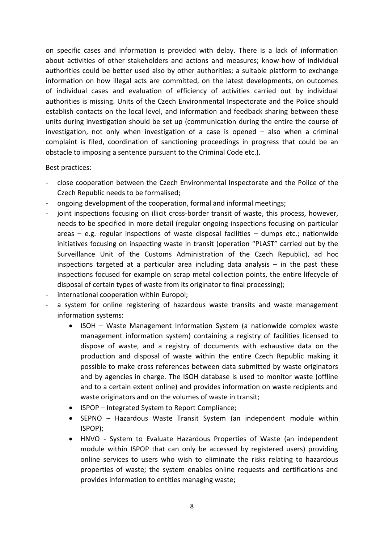on specific cases and information is provided with delay. There is a lack of information about activities of other stakeholders and actions and measures; know-how of individual authorities could be better used also by other authorities; a suitable platform to exchange information on how illegal acts are committed, on the latest developments, on outcomes of individual cases and evaluation of efficiency of activities carried out by individual authorities is missing. Units of the Czech Environmental Inspectorate and the Police should establish contacts on the local level, and information and feedback sharing between these units during investigation should be set up (communication during the entire the course of investigation, not only when investigation of a case is opened – also when a criminal complaint is filed, coordination of sanctioning proceedings in progress that could be an obstacle to imposing a sentence pursuant to the Criminal Code etc.).

#### Best practices:

- close cooperation between the Czech Environmental Inspectorate and the Police of the Czech Republic needs to be formalised;
- ongoing development of the cooperation, formal and informal meetings;
- joint inspections focusing on illicit cross-border transit of waste, this process, however, needs to be specified in more detail (regular ongoing inspections focusing on particular areas  $-$  e.g. regular inspections of waste disposal facilities  $-$  dumps etc.; nationwide initiatives focusing on inspecting waste in transit (operation "PLAST" carried out by the Surveillance Unit of the Customs Administration of the Czech Republic), ad hoc inspections targeted at a particular area including data analysis  $-$  in the past these inspections focused for example on scrap metal collection points, the entire lifecycle of disposal of certain types of waste from its originator to final processing);
- international cooperation within Europol;
- a system for online registering of hazardous waste transits and waste management information systems:
	- ISOH Waste Management Information System (a nationwide complex waste management information system) containing a registry of facilities licensed to dispose of waste, and a registry of documents with exhaustive data on the production and disposal of waste within the entire Czech Republic making it possible to make cross references between data submitted by waste originators and by agencies in charge. The ISOH database is used to monitor waste (offline and to a certain extent online) and provides information on waste recipients and waste originators and on the volumes of waste in transit;
	- ISPOP Integrated System to Report Compliance;
	- SEPNO Hazardous Waste Transit System (an independent module within ISPOP);
	- HNVO System to Evaluate Hazardous Properties of Waste (an independent module within ISPOP that can only be accessed by registered users) providing online services to users who wish to eliminate the risks relating to hazardous properties of waste; the system enables online requests and certifications and provides information to entities managing waste;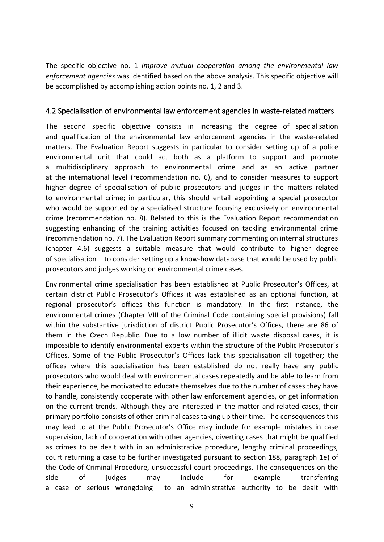The specific objective no. 1 *Improve mutual cooperation among the environmental law enforcement agencies* was identified based on the above analysis. This specific objective will be accomplished by accomplishing action points no. 1, 2 and 3.

#### <span id="page-9-0"></span>4.2 Specialisation of environmental law enforcement agencies in waste-related matters

The second specific objective consists in increasing the degree of specialisation and qualification of the environmental law enforcement agencies in the waste-related matters. The Evaluation Report suggests in particular to consider setting up of a police environmental unit that could act both as a platform to support and promote a multidisciplinary approach to environmental crime and as an active partner at the international level (recommendation no. 6), and to consider measures to support higher degree of specialisation of public prosecutors and judges in the matters related to environmental crime; in particular, this should entail appointing a special prosecutor who would be supported by a specialised structure focusing exclusively on environmental crime (recommendation no. 8). Related to this is the Evaluation Report recommendation suggesting enhancing of the training activities focused on tackling environmental crime (recommendation no. 7). The Evaluation Report summary commenting on internal structures (chapter 4.6) suggests a suitable measure that would contribute to higher degree of specialisation – to consider setting up a know-how database that would be used by public prosecutors and judges working on environmental crime cases.

Environmental crime specialisation has been established at Public Prosecutor's Offices, at certain district Public Prosecutor's Offices it was established as an optional function, at regional prosecutor's offices this function is mandatory. In the first instance, the environmental crimes (Chapter VIII of the Criminal Code containing special provisions) fall within the substantive jurisdiction of district Public Prosecutor's Offices, there are 86 of them in the Czech Republic. Due to a low number of illicit waste disposal cases, it is impossible to identify environmental experts within the structure of the Public Prosecutor's Offices. Some of the Public Prosecutor's Offices lack this specialisation all together; the offices where this specialisation has been established do not really have any public prosecutors who would deal with environmental cases repeatedly and be able to learn from their experience, be motivated to educate themselves due to the number of cases they have to handle, consistently cooperate with other law enforcement agencies, or get information on the current trends. Although they are interested in the matter and related cases, their primary portfolio consists of other criminal cases taking up their time. The consequences this may lead to at the Public Prosecutor's Office may include for example mistakes in case supervision, lack of cooperation with other agencies, diverting cases that might be qualified as crimes to be dealt with in an administrative procedure, lengthy criminal proceedings, court returning a case to be further investigated pursuant to section 188, paragraph 1e) of the Code of Criminal Procedure, unsuccessful court proceedings. The consequences on the side of judges may include for example transferring a case of serious wrongdoing to an administrative authority to be dealt with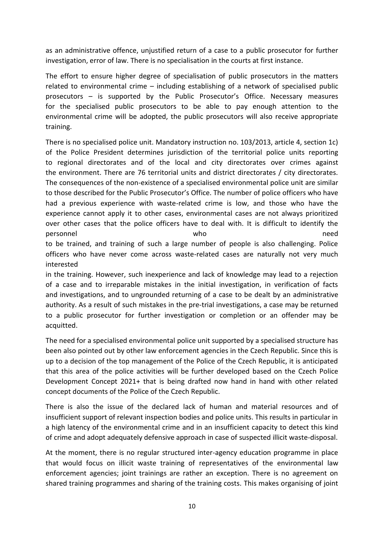as an administrative offence, unjustified return of a case to a public prosecutor for further investigation, error of law. There is no specialisation in the courts at first instance.

The effort to ensure higher degree of specialisation of public prosecutors in the matters related to environmental crime – including establishing of a network of specialised public prosecutors – is supported by the Public Prosecutor's Office. Necessary measures for the specialised public prosecutors to be able to pay enough attention to the environmental crime will be adopted, the public prosecutors will also receive appropriate training.

There is no specialised police unit. Mandatory instruction no. 103/2013, article 4, section 1c) of the Police President determines jurisdiction of the territorial police units reporting to regional directorates and of the local and city directorates over crimes against the environment. There are 76 territorial units and district directorates / city directorates. The consequences of the non-existence of a specialised environmental police unit are similar to those described for the Public Prosecutor's Office. The number of police officers who have had a previous experience with waste-related crime is low, and those who have the experience cannot apply it to other cases, environmental cases are not always prioritized over other cases that the police officers have to deal with. It is difficult to identify the personnel who need to be trained, and training of such a large number of people is also challenging. Police

officers who have never come across waste-related cases are naturally not very much interested

in the training. However, such inexperience and lack of knowledge may lead to a rejection of a case and to irreparable mistakes in the initial investigation, in verification of facts and investigations, and to ungrounded returning of a case to be dealt by an administrative authority. As a result of such mistakes in the pre-trial investigations, a case may be returned to a public prosecutor for further investigation or completion or an offender may be acquitted.

The need for a specialised environmental police unit supported by a specialised structure has been also pointed out by other law enforcement agencies in the Czech Republic. Since this is up to a decision of the top management of the Police of the Czech Republic, it is anticipated that this area of the police activities will be further developed based on the Czech Police Development Concept 2021+ that is being drafted now hand in hand with other related concept documents of the Police of the Czech Republic.

There is also the issue of the declared lack of human and material resources and of insufficient support of relevant inspection bodies and police units. This results in particular in a high latency of the environmental crime and in an insufficient capacity to detect this kind of crime and adopt adequately defensive approach in case of suspected illicit waste-disposal.

At the moment, there is no regular structured inter-agency education programme in place that would focus on illicit waste training of representatives of the environmental law enforcement agencies; joint trainings are rather an exception. There is no agreement on shared training programmes and sharing of the training costs. This makes organising of joint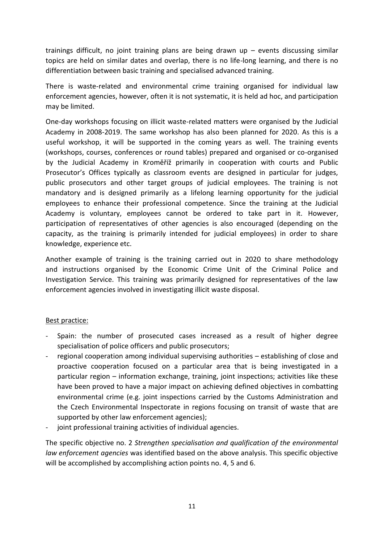trainings difficult, no joint training plans are being drawn up – events discussing similar topics are held on similar dates and overlap, there is no life-long learning, and there is no differentiation between basic training and specialised advanced training.

There is waste-related and environmental crime training organised for individual law enforcement agencies, however, often it is not systematic, it is held ad hoc, and participation may be limited.

One-day workshops focusing on illicit waste-related matters were organised by the Judicial Academy in 2008-2019. The same workshop has also been planned for 2020. As this is a useful workshop, it will be supported in the coming years as well. The training events (workshops, courses, conferences or round tables) prepared and organised or co-organised by the Judicial Academy in Kroměříž primarily in cooperation with courts and Public Prosecutor's Offices typically as classroom events are designed in particular for judges, public prosecutors and other target groups of judicial employees. The training is not mandatory and is designed primarily as a lifelong learning opportunity for the judicial employees to enhance their professional competence. Since the training at the Judicial Academy is voluntary, employees cannot be ordered to take part in it. However, participation of representatives of other agencies is also encouraged (depending on the capacity, as the training is primarily intended for judicial employees) in order to share knowledge, experience etc.

Another example of training is the training carried out in 2020 to share methodology and instructions organised by the Economic Crime Unit of the Criminal Police and Investigation Service. This training was primarily designed for representatives of the law enforcement agencies involved in investigating illicit waste disposal.

### Best practice:

- Spain: the number of prosecuted cases increased as a result of higher degree specialisation of police officers and public prosecutors;
- regional cooperation among individual supervising authorities establishing of close and proactive cooperation focused on a particular area that is being investigated in a particular region – information exchange, training, joint inspections; activities like these have been proved to have a major impact on achieving defined objectives in combatting environmental crime (e.g. joint inspections carried by the Customs Administration and the Czech Environmental Inspectorate in regions focusing on transit of waste that are supported by other law enforcement agencies);
- joint professional training activities of individual agencies.

The specific objective no. 2 *Strengthen specialisation and qualification of the environmental law enforcement agencies* was identified based on the above analysis. This specific objective will be accomplished by accomplishing action points no. 4, 5 and 6.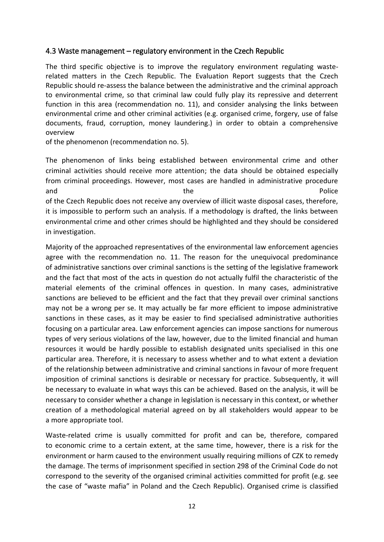### <span id="page-12-0"></span>4.3 Waste management – regulatory environment in the Czech Republic

The third specific objective is to improve the regulatory environment regulating wasterelated matters in the Czech Republic. The Evaluation Report suggests that the Czech Republic should re-assess the balance between the administrative and the criminal approach to environmental crime, so that criminal law could fully play its repressive and deterrent function in this area (recommendation no. 11), and consider analysing the links between environmental crime and other criminal activities (e.g. organised crime, forgery, use of false documents, fraud, corruption, money laundering.) in order to obtain a comprehensive overview

of the phenomenon (recommendation no. 5).

The phenomenon of links being established between environmental crime and other criminal activities should receive more attention; the data should be obtained especially from criminal proceedings. However, most cases are handled in administrative procedure and the extension of the contract of the police and the police  $\mathsf{Police}$ of the Czech Republic does not receive any overview of illicit waste disposal cases, therefore, it is impossible to perform such an analysis. If a methodology is drafted, the links between environmental crime and other crimes should be highlighted and they should be considered in investigation.

Majority of the approached representatives of the environmental law enforcement agencies agree with the recommendation no. 11. The reason for the unequivocal predominance of administrative sanctions over criminal sanctions is the setting of the legislative framework and the fact that most of the acts in question do not actually fulfil the characteristic of the material elements of the criminal offences in question. In many cases, administrative sanctions are believed to be efficient and the fact that they prevail over criminal sanctions may not be a wrong per se. It may actually be far more efficient to impose administrative sanctions in these cases, as it may be easier to find specialised administrative authorities focusing on a particular area. Law enforcement agencies can impose sanctions for numerous types of very serious violations of the law, however, due to the limited financial and human resources it would be hardly possible to establish designated units specialised in this one particular area. Therefore, it is necessary to assess whether and to what extent a deviation of the relationship between administrative and criminal sanctions in favour of more frequent imposition of criminal sanctions is desirable or necessary for practice. Subsequently, it will be necessary to evaluate in what ways this can be achieved. Based on the analysis, it will be necessary to consider whether a change in legislation is necessary in this context, or whether creation of a methodological material agreed on by all stakeholders would appear to be a more appropriate tool.

Waste-related crime is usually committed for profit and can be, therefore, compared to economic crime to a certain extent, at the same time, however, there is a risk for the environment or harm caused to the environment usually requiring millions of CZK to remedy the damage. The terms of imprisonment specified in section 298 of the Criminal Code do not correspond to the severity of the organised criminal activities committed for profit (e.g. see the case of "waste mafia" in Poland and the Czech Republic). Organised crime is classified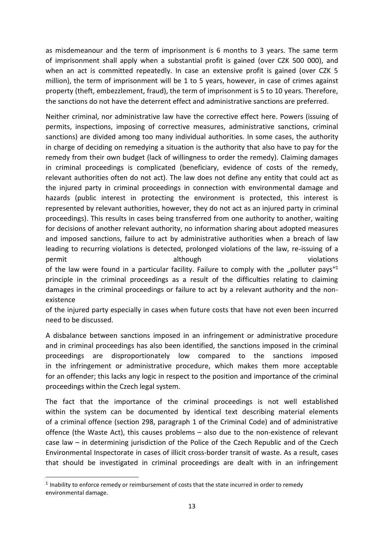as misdemeanour and the term of imprisonment is 6 months to 3 years. The same term of imprisonment shall apply when a substantial profit is gained (over CZK 500 000), and when an act is committed repeatedly. In case an extensive profit is gained (over CZK 5 million), the term of imprisonment will be 1 to 5 years, however, in case of crimes against property (theft, embezzlement, fraud), the term of imprisonment is 5 to 10 years. Therefore, the sanctions do not have the deterrent effect and administrative sanctions are preferred.

Neither criminal, nor administrative law have the corrective effect here. Powers (issuing of permits, inspections, imposing of corrective measures, administrative sanctions, criminal sanctions) are divided among too many individual authorities. In some cases, the authority in charge of deciding on remedying a situation is the authority that also have to pay for the remedy from their own budget (lack of willingness to order the remedy). Claiming damages in criminal proceedings is complicated (beneficiary, evidence of costs of the remedy, relevant authorities often do not act). The law does not define any entity that could act as the injured party in criminal proceedings in connection with environmental damage and hazards (public interest in protecting the environment is protected, this interest is represented by relevant authorities, however, they do not act as an injured party in criminal proceedings). This results in cases being transferred from one authority to another, waiting for decisions of another relevant authority, no information sharing about adopted measures and imposed sanctions, failure to act by administrative authorities when a breach of law leading to recurring violations is detected, prolonged violations of the law, re-issuing of a permit and though violations and though violations of the law were found in a particular facility. Failure to comply with the "polluter pays<sup>"1</sup>

principle in the criminal proceedings as a result of the difficulties relating to claiming damages in the criminal proceedings or failure to act by a relevant authority and the nonexistence

of the injured party especially in cases when future costs that have not even been incurred need to be discussed.

A disbalance between sanctions imposed in an infringement or administrative procedure and in criminal proceedings has also been identified, the sanctions imposed in the criminal proceedings are disproportionately low compared to the sanctions imposed in the infringement or administrative procedure, which makes them more acceptable for an offender; this lacks any logic in respect to the position and importance of the criminal proceedings within the Czech legal system.

The fact that the importance of the criminal proceedings is not well established within the system can be documented by identical text describing material elements of a criminal offence (section 298, paragraph 1 of the Criminal Code) and of administrative offence (the Waste Act), this causes problems – also due to the non-existence of relevant case law – in determining jurisdiction of the Police of the Czech Republic and of the Czech Environmental Inspectorate in cases of illicit cross-border transit of waste. As a result, cases that should be investigated in criminal proceedings are dealt with in an infringement

1

<sup>&</sup>lt;sup>1</sup> Inability to enforce remedy or reimbursement of costs that the state incurred in order to remedy environmental damage.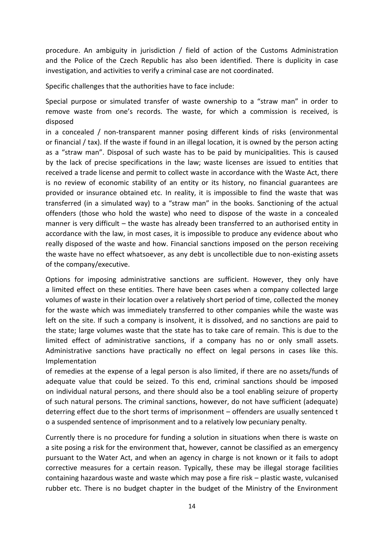procedure. An ambiguity in jurisdiction / field of action of the Customs Administration and the Police of the Czech Republic has also been identified. There is duplicity in case investigation, and activities to verify a criminal case are not coordinated.

Specific challenges that the authorities have to face include:

Special purpose or simulated transfer of waste ownership to a "straw man" in order to remove waste from one's records. The waste, for which a commission is received, is disposed

in a concealed / non-transparent manner posing different kinds of risks (environmental or financial / tax). If the waste if found in an illegal location, it is owned by the person acting as a "straw man". Disposal of such waste has to be paid by municipalities. This is caused by the lack of precise specifications in the law; waste licenses are issued to entities that received a trade license and permit to collect waste in accordance with the Waste Act, there is no review of economic stability of an entity or its history, no financial guarantees are provided or insurance obtained etc. In reality, it is impossible to find the waste that was transferred (in a simulated way) to a "straw man" in the books. Sanctioning of the actual offenders (those who hold the waste) who need to dispose of the waste in a concealed manner is very difficult – the waste has already been transferred to an authorised entity in accordance with the law, in most cases, it is impossible to produce any evidence about who really disposed of the waste and how. Financial sanctions imposed on the person receiving the waste have no effect whatsoever, as any debt is uncollectible due to non-existing assets of the company/executive.

Options for imposing administrative sanctions are sufficient. However, they only have a limited effect on these entities. There have been cases when a company collected large volumes of waste in their location over a relatively short period of time, collected the money for the waste which was immediately transferred to other companies while the waste was left on the site. If such a company is insolvent, it is dissolved, and no sanctions are paid to the state; large volumes waste that the state has to take care of remain. This is due to the limited effect of administrative sanctions, if a company has no or only small assets. Administrative sanctions have practically no effect on legal persons in cases like this. Implementation

of remedies at the expense of a legal person is also limited, if there are no assets/funds of adequate value that could be seized. To this end, criminal sanctions should be imposed on individual natural persons, and there should also be a tool enabling seizure of property of such natural persons. The criminal sanctions, however, do not have sufficient (adequate) deterring effect due to the short terms of imprisonment – offenders are usually sentenced t o a suspended sentence of imprisonment and to a relatively low pecuniary penalty.

Currently there is no procedure for funding a solution in situations when there is waste on a site posing a risk for the environment that, however, cannot be classified as an emergency pursuant to the Water Act, and when an agency in charge is not known or it fails to adopt corrective measures for a certain reason. Typically, these may be illegal storage facilities containing hazardous waste and waste which may pose a fire risk – plastic waste, vulcanised rubber etc. There is no budget chapter in the budget of the Ministry of the Environment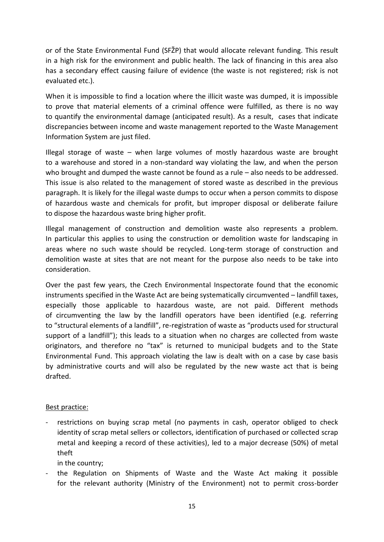or of the State Environmental Fund (SFŽP) that would allocate relevant funding. This result in a high risk for the environment and public health. The lack of financing in this area also has a secondary effect causing failure of evidence (the waste is not registered; risk is not evaluated etc.).

When it is impossible to find a location where the illicit waste was dumped, it is impossible to prove that material elements of a criminal offence were fulfilled, as there is no way to quantify the environmental damage (anticipated result). As a result, cases that indicate discrepancies between income and waste management reported to the Waste Management Information System are just filed.

Illegal storage of waste – when large volumes of mostly hazardous waste are brought to a warehouse and stored in a non-standard way violating the law, and when the person who brought and dumped the waste cannot be found as a rule – also needs to be addressed. This issue is also related to the management of stored waste as described in the previous paragraph. It is likely for the illegal waste dumps to occur when a person commits to dispose of hazardous waste and chemicals for profit, but improper disposal or deliberate failure to dispose the hazardous waste bring higher profit.

Illegal management of construction and demolition waste also represents a problem. In particular this applies to using the construction or demolition waste for landscaping in areas where no such waste should be recycled. Long-term storage of construction and demolition waste at sites that are not meant for the purpose also needs to be take into consideration.

Over the past few years, the Czech Environmental Inspectorate found that the economic instruments specified in the Waste Act are being systematically circumvented – landfill taxes, especially those applicable to hazardous waste, are not paid. Different methods of circumventing the law by the landfill operators have been identified (e.g. referring to "structural elements of a landfill", re-registration of waste as "products used for structural support of a landfill"); this leads to a situation when no charges are collected from waste originators, and therefore no "tax" is returned to municipal budgets and to the State Environmental Fund. This approach violating the law is dealt with on a case by case basis by administrative courts and will also be regulated by the new waste act that is being drafted.

### Best practice:

restrictions on buying scrap metal (no payments in cash, operator obliged to check identity of scrap metal sellers or collectors, identification of purchased or collected scrap metal and keeping a record of these activities), led to a major decrease (50%) of metal theft

in the country;

- the Regulation on Shipments of Waste and the Waste Act making it possible for the relevant authority (Ministry of the Environment) not to permit cross-border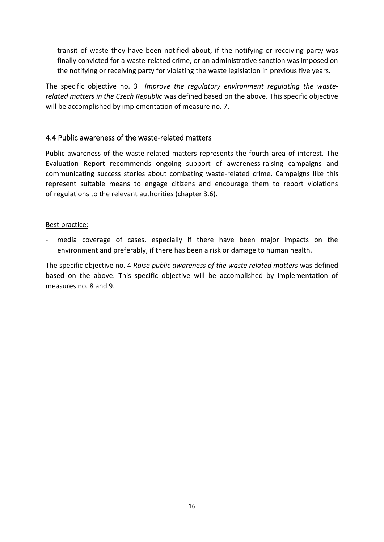transit of waste they have been notified about, if the notifying or receiving party was finally convicted for a waste-related crime, or an administrative sanction was imposed on the notifying or receiving party for violating the waste legislation in previous five years.

The specific objective no. 3 *Improve the regulatory environment regulating the wasterelated matters in the Czech Republic* was defined based on the above. This specific objective will be accomplished by implementation of measure no. 7.

### <span id="page-16-0"></span>4.4 Public awareness of the waste-related matters

Public awareness of the waste-related matters represents the fourth area of interest. The Evaluation Report recommends ongoing support of awareness-raising campaigns and communicating success stories about combating waste-related crime. Campaigns like this represent suitable means to engage citizens and encourage them to report violations of regulations to the relevant authorities (chapter 3.6).

### Best practice:

media coverage of cases, especially if there have been major impacts on the environment and preferably, if there has been a risk or damage to human health.

The specific objective no. 4 *Raise public awareness of the waste related matters* was defined based on the above. This specific objective will be accomplished by implementation of measures no. 8 and 9.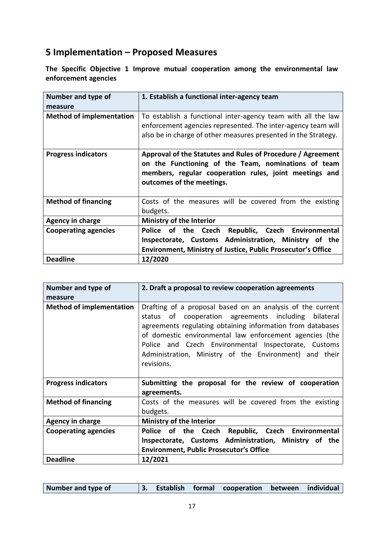# <span id="page-17-0"></span>**5 Implementation – Proposed Measures**

**The Specific Objective 1 Improve mutual cooperation among the environmental law enforcement agencies**

| Number and type of<br>measure   | 1. Establish a functional inter-agency team                                                                                                                                                               |
|---------------------------------|-----------------------------------------------------------------------------------------------------------------------------------------------------------------------------------------------------------|
| <b>Method of implementation</b> | To establish a functional inter-agency team with all the law<br>enforcement agencies represented. The inter-agency team will<br>also be in charge of other measures presented in the Strategy.            |
| <b>Progress indicators</b>      | Approval of the Statutes and Rules of Procedure / Agreement<br>on the Functioning of the Team, nominations of team<br>members, regular cooperation rules, joint meetings and<br>outcomes of the meetings. |
| <b>Method of financing</b>      | Costs of the measures will be covered from the existing<br>budgets.                                                                                                                                       |
| <b>Agency in charge</b>         | <b>Ministry of the Interior</b>                                                                                                                                                                           |
| <b>Cooperating agencies</b>     | Republic, Czech Environmental<br>Czech<br>Police<br>of the<br>Inspectorate, Customs Administration, Ministry of the<br><b>Environment, Ministry of Justice, Public Prosecutor's Office</b>                |
| <b>Deadline</b>                 | 12/2020                                                                                                                                                                                                   |

| Number and type of              | 2. Draft a proposal to review cooperation agreements                                                                                                                                                                                                                                                                                                                              |
|---------------------------------|-----------------------------------------------------------------------------------------------------------------------------------------------------------------------------------------------------------------------------------------------------------------------------------------------------------------------------------------------------------------------------------|
| measure                         |                                                                                                                                                                                                                                                                                                                                                                                   |
| <b>Method of implementation</b> | Drafting of a proposal based on an analysis of the current<br>cooperation agreements including<br>bilateral<br>status of<br>agreements regulating obtaining information from databases<br>of domestic environmental law enforcement agencies (the<br>Police and Czech Environmental Inspectorate, Customs<br>Administration, Ministry of the Environment) and their<br>revisions. |
| <b>Progress indicators</b>      | Submitting the proposal for the review of cooperation<br>agreements.                                                                                                                                                                                                                                                                                                              |
| <b>Method of financing</b>      | Costs of the measures will be covered from the existing<br>budgets.                                                                                                                                                                                                                                                                                                               |
| <b>Agency in charge</b>         | <b>Ministry of the Interior</b>                                                                                                                                                                                                                                                                                                                                                   |
| <b>Cooperating agencies</b>     | of the Czech Republic, Czech Environmental<br>Police<br>Inspectorate, Customs Administration, Ministry of the<br><b>Environment, Public Prosecutor's Office</b>                                                                                                                                                                                                                   |
| <b>Deadline</b>                 | 12/2021                                                                                                                                                                                                                                                                                                                                                                           |

| Number and type of<br>3. Establish formal cooperation between individual |  |  |  |  |
|--------------------------------------------------------------------------|--|--|--|--|
|--------------------------------------------------------------------------|--|--|--|--|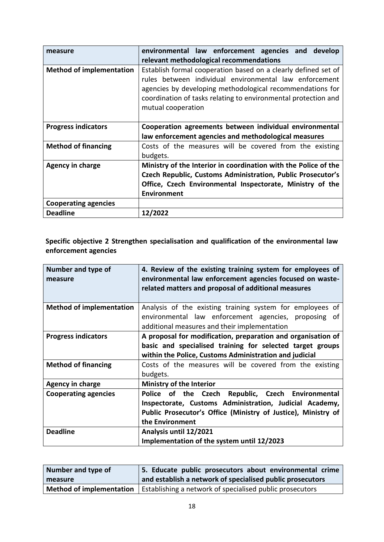| measure                         | environmental law enforcement agencies and develop<br>relevant methodological recommendations                                                                                                                                                                                 |
|---------------------------------|-------------------------------------------------------------------------------------------------------------------------------------------------------------------------------------------------------------------------------------------------------------------------------|
| <b>Method of implementation</b> | Establish formal cooperation based on a clearly defined set of<br>rules between individual environmental law enforcement<br>agencies by developing methodological recommendations for<br>coordination of tasks relating to environmental protection and<br>mutual cooperation |
| <b>Progress indicators</b>      | Cooperation agreements between individual environmental                                                                                                                                                                                                                       |
|                                 | law enforcement agencies and methodological measures                                                                                                                                                                                                                          |
| <b>Method of financing</b>      | Costs of the measures will be covered from the existing<br>budgets.                                                                                                                                                                                                           |
| Agency in charge                | Ministry of the Interior in coordination with the Police of the<br>Czech Republic, Customs Administration, Public Prosecutor's<br>Office, Czech Environmental Inspectorate, Ministry of the<br><b>Environment</b>                                                             |
| <b>Cooperating agencies</b>     |                                                                                                                                                                                                                                                                               |
| <b>Deadline</b>                 | 12/2022                                                                                                                                                                                                                                                                       |

**Specific objective 2 Strengthen specialisation and qualification of the environmental law enforcement agencies**

| Number and type of<br>measure   | 4. Review of the existing training system for employees of<br>environmental law enforcement agencies focused on waste-<br>related matters and proposal of additional measures |
|---------------------------------|-------------------------------------------------------------------------------------------------------------------------------------------------------------------------------|
| <b>Method of implementation</b> | Analysis of the existing training system for employees of                                                                                                                     |
|                                 | environmental law enforcement agencies, proposing of<br>additional measures and their implementation                                                                          |
| <b>Progress indicators</b>      | A proposal for modification, preparation and organisation of                                                                                                                  |
|                                 | basic and specialised training for selected target groups                                                                                                                     |
|                                 | within the Police, Customs Administration and judicial                                                                                                                        |
| <b>Method of financing</b>      | Costs of the measures will be covered from the existing                                                                                                                       |
|                                 | budgets.                                                                                                                                                                      |
| <b>Agency in charge</b>         | <b>Ministry of the Interior</b>                                                                                                                                               |
| <b>Cooperating agencies</b>     | Republic, Czech Environmental<br>Police of the Czech                                                                                                                          |
|                                 | Inspectorate, Customs Administration, Judicial Academy,                                                                                                                       |
|                                 | Public Prosecutor's Office (Ministry of Justice), Ministry of                                                                                                                 |
|                                 | the Environment                                                                                                                                                               |
| <b>Deadline</b>                 | Analysis until 12/2021                                                                                                                                                        |
|                                 | Implementation of the system until 12/2023                                                                                                                                    |

| Number and type of              | 5. Educate public prosecutors about environmental crime   |
|---------------------------------|-----------------------------------------------------------|
| measure                         | and establish a network of specialised public prosecutors |
| <b>Method of implementation</b> | Establishing a network of specialised public prosecutors  |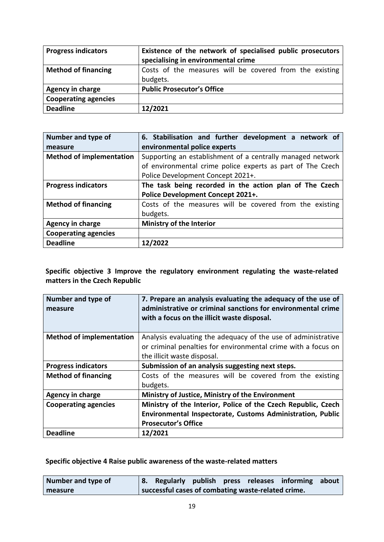| <b>Progress indicators</b>  | Existence of the network of specialised public prosecutors<br>specialising in environmental crime |
|-----------------------------|---------------------------------------------------------------------------------------------------|
| <b>Method of financing</b>  | Costs of the measures will be covered from the existing<br>budgets.                               |
| Agency in charge            | <b>Public Prosecutor's Office</b>                                                                 |
| <b>Cooperating agencies</b> |                                                                                                   |
| <b>Deadline</b>             | 12/2021                                                                                           |

| Number and type of              | 6. Stabilisation and further development a network of      |
|---------------------------------|------------------------------------------------------------|
| measure                         | environmental police experts                               |
| <b>Method of implementation</b> | Supporting an establishment of a centrally managed network |
|                                 | of environmental crime police experts as part of The Czech |
|                                 | Police Development Concept 2021+.                          |
| <b>Progress indicators</b>      | The task being recorded in the action plan of The Czech    |
|                                 | Police Development Concept 2021+.                          |
| <b>Method of financing</b>      | Costs of the measures will be covered from the existing    |
|                                 | budgets.                                                   |
| Agency in charge                | Ministry of the Interior                                   |
| <b>Cooperating agencies</b>     |                                                            |
| <b>Deadline</b>                 | 12/2022                                                    |

**Specific objective 3 Improve the regulatory environment regulating the waste-related matters in the Czech Republic**

| Number and type of<br>measure   | 7. Prepare an analysis evaluating the adequacy of the use of<br>administrative or criminal sanctions for environmental crime<br>with a focus on the illicit waste disposal. |
|---------------------------------|-----------------------------------------------------------------------------------------------------------------------------------------------------------------------------|
| <b>Method of implementation</b> | Analysis evaluating the adequacy of the use of administrative                                                                                                               |
|                                 | or criminal penalties for environmental crime with a focus on                                                                                                               |
|                                 | the illicit waste disposal.                                                                                                                                                 |
| <b>Progress indicators</b>      | Submission of an analysis suggesting next steps.                                                                                                                            |
| <b>Method of financing</b>      | Costs of the measures will be covered from the existing                                                                                                                     |
|                                 | budgets.                                                                                                                                                                    |
| Agency in charge                | Ministry of Justice, Ministry of the Environment                                                                                                                            |
| <b>Cooperating agencies</b>     | Ministry of the Interior, Police of the Czech Republic, Czech                                                                                                               |
|                                 | Environmental Inspectorate, Customs Administration, Public                                                                                                                  |
|                                 | <b>Prosecutor's Office</b>                                                                                                                                                  |
| <b>Deadline</b>                 | 12/2021                                                                                                                                                                     |

**Specific objective 4 Raise public awareness of the waste-related matters**

| Number and type of |                                                    |  | 8. Regularly publish press releases informing about |  |
|--------------------|----------------------------------------------------|--|-----------------------------------------------------|--|
| measure            | successful cases of combating waste-related crime. |  |                                                     |  |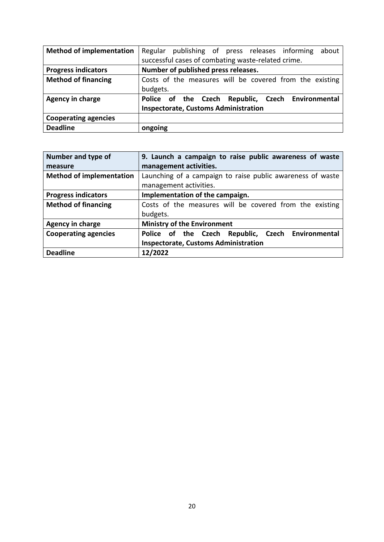| <b>Method of implementation</b> | Regular publishing of press releases informing<br>about |
|---------------------------------|---------------------------------------------------------|
|                                 | successful cases of combating waste-related crime.      |
| <b>Progress indicators</b>      | Number of published press releases.                     |
| <b>Method of financing</b>      | Costs of the measures will be covered from the existing |
|                                 | budgets.                                                |
| Agency in charge                | Police of the Czech Republic, Czech Environmental       |
|                                 | <b>Inspectorate, Customs Administration</b>             |
| <b>Cooperating agencies</b>     |                                                         |
| <b>Deadline</b>                 | ongoing                                                 |

| Number and type of              | 9. Launch a campaign to raise public awareness of waste    |
|---------------------------------|------------------------------------------------------------|
| measure                         | management activities.                                     |
| <b>Method of implementation</b> | Launching of a campaign to raise public awareness of waste |
|                                 | management activities.                                     |
| <b>Progress indicators</b>      | Implementation of the campaign.                            |
| <b>Method of financing</b>      | Costs of the measures will be covered from the existing    |
|                                 | budgets.                                                   |
| <b>Agency in charge</b>         | <b>Ministry of the Environment</b>                         |
| <b>Cooperating agencies</b>     | Police of the Czech Republic, Czech Environmental          |
|                                 | <b>Inspectorate, Customs Administration</b>                |
| <b>Deadline</b>                 | 12/2022                                                    |